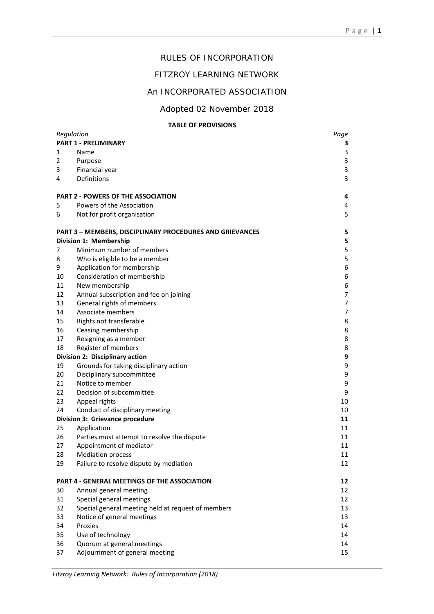## RULES OF INCORPORATION

## FITZROY LEARNING NETWORK

## An INCORPORATED ASSOCIATION

Adopted 02 November 2018

#### **TABLE OF PROVISIONS**

| Regulation<br><b>PART 1 - PRELIMINARY</b> |                                                                 | Page           |
|-------------------------------------------|-----------------------------------------------------------------|----------------|
|                                           |                                                                 | 3              |
| 1.                                        | Name                                                            | 3              |
| $\overline{2}$                            | Purpose                                                         | 3              |
| 3                                         | Financial year                                                  | 3              |
| 4                                         | Definitions                                                     | 3              |
| <b>PART 2 - POWERS OF THE ASSOCIATION</b> |                                                                 | 4              |
| 5                                         | Powers of the Association                                       | 4              |
| 6                                         | Not for profit organisation                                     | 5              |
|                                           | <b>PART 3 - MEMBERS, DISCIPLINARY PROCEDURES AND GRIEVANCES</b> | 5              |
| Division 1: Membership                    |                                                                 | 5              |
| 7                                         | Minimum number of members                                       | 5              |
| 8                                         | Who is eligible to be a member                                  | 5              |
| 9                                         | Application for membership                                      | 6              |
| 10                                        | Consideration of membership                                     | 6              |
| 11                                        | New membership                                                  | 6              |
| 12                                        | Annual subscription and fee on joining                          | $\overline{7}$ |
| 13                                        | General rights of members                                       | $\overline{7}$ |
| 14                                        | Associate members                                               | 7              |
| 15                                        | Rights not transferable                                         | 8              |
| 16                                        | Ceasing membership                                              | 8              |
| 17                                        | Resigning as a member                                           | 8              |
| 18                                        | Register of members                                             | 8              |
| Division 2: Disciplinary action           |                                                                 | 9              |
| 19                                        | Grounds for taking disciplinary action                          | 9              |
| 20                                        | Disciplinary subcommittee                                       | 9              |
| 21                                        | Notice to member                                                | 9              |
| 22                                        | Decision of subcommittee                                        | 9              |
| 23                                        | Appeal rights                                                   | 10             |
| 24                                        | Conduct of disciplinary meeting                                 | 10             |
|                                           | Division 3: Grievance procedure                                 | 11             |
| 25                                        | Application                                                     | 11             |
| 26                                        | Parties must attempt to resolve the dispute                     | 11             |
| 27                                        | Appointment of mediator                                         | 11             |
| 28                                        | <b>Mediation process</b>                                        | 11             |
| 29                                        | Failure to resolve dispute by mediation                         | 12             |
|                                           | PART 4 - GENERAL MEETINGS OF THE ASSOCIATION                    | 12             |
| 30                                        | Annual general meeting                                          | 12             |
| 31                                        | Special general meetings                                        | 12             |
| 32                                        | Special general meeting held at request of members              | 13             |
| 33                                        | Notice of general meetings                                      | 13             |
| 34                                        | Proxies                                                         | 14             |
| 35                                        | Use of technology                                               | 14             |
| 36                                        | Quorum at general meetings                                      | 14             |
| 37                                        | Adjournment of general meeting                                  | 15             |

*Fitzroy Learning Network: Rules of Incorporation (2018)*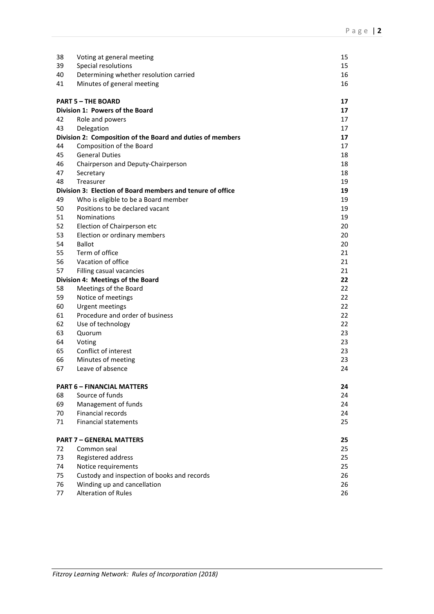| 38                        | Voting at general meeting                                               | 15       |
|---------------------------|-------------------------------------------------------------------------|----------|
| 39                        | Special resolutions                                                     | 15       |
| 40                        | Determining whether resolution carried                                  | 16       |
| 41                        | Minutes of general meeting                                              | 16       |
|                           |                                                                         |          |
| <b>PART 5 - THE BOARD</b> |                                                                         | 17       |
|                           | Division 1: Powers of the Board                                         | 17       |
| 42                        | Role and powers                                                         | 17       |
| 43                        | Delegation                                                              | 17       |
| 44                        | Division 2: Composition of the Board and duties of members              | 17       |
| 45                        | Composition of the Board<br><b>General Duties</b>                       | 17       |
| 46                        |                                                                         | 18<br>18 |
| 47                        | Chairperson and Deputy-Chairperson                                      | 18       |
|                           | Secretary                                                               |          |
| 48                        | Treasurer<br>Division 3: Election of Board members and tenure of office | 19<br>19 |
|                           |                                                                         |          |
| 49                        | Who is eligible to be a Board member<br>Positions to be declared vacant | 19       |
| 50                        |                                                                         | 19       |
| 51                        | <b>Nominations</b>                                                      | 19       |
| 52                        | Election of Chairperson etc                                             | 20       |
| 53<br>54                  | Election or ordinary members<br><b>Ballot</b>                           | 20<br>20 |
|                           | Term of office                                                          |          |
| 55<br>56                  | Vacation of office                                                      | 21<br>21 |
| 57                        |                                                                         | 21       |
|                           | Filling casual vacancies                                                | 22       |
| 58                        | Division 4: Meetings of the Board<br>Meetings of the Board              | 22       |
| 59                        | Notice of meetings                                                      | 22       |
| 60                        | Urgent meetings                                                         | 22       |
| 61                        | Procedure and order of business                                         | 22       |
| 62                        | Use of technology                                                       | 22       |
| 63                        | Quorum                                                                  | 23       |
| 64                        | Voting                                                                  | 23       |
| 65                        | Conflict of interest                                                    | 23       |
| 66                        | Minutes of meeting                                                      | 23       |
| 67                        | Leave of absence                                                        | 24       |
|                           |                                                                         |          |
|                           | <b>PART 6 - FINANCIAL MATTERS</b>                                       | 24       |
| 68                        | Source of funds                                                         | 24       |
| 69                        | Management of funds                                                     | 24       |
| 70                        | Financial records                                                       | 24       |
| 71                        | <b>Financial statements</b>                                             | 25       |
|                           |                                                                         |          |
|                           | <b>PART 7 - GENERAL MATTERS</b>                                         | 25       |
| 72                        | Common seal                                                             | 25       |
| 73                        | Registered address                                                      | 25       |
| 74                        | Notice requirements                                                     | 25       |
| 75                        | Custody and inspection of books and records                             | 26       |
| 76                        | Winding up and cancellation                                             | 26       |
| 77                        | <b>Alteration of Rules</b>                                              | 26       |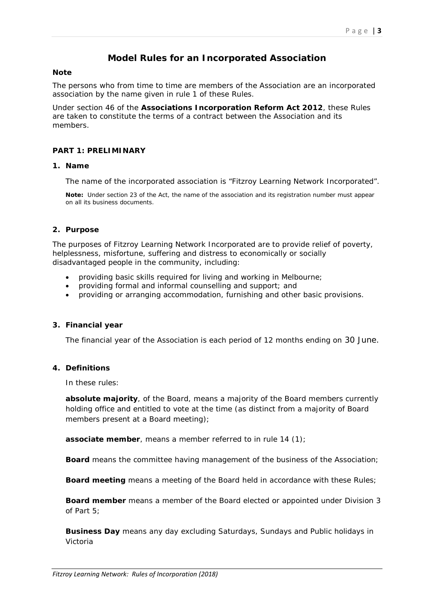# **Model Rules for an Incorporated Association**

#### **Note**

The persons who from time to time are members of the Association are an incorporated association by the name given in rule 1 of these Rules.

Under section 46 of the **Associations Incorporation Reform Act 2012**, these Rules are taken to constitute the terms of a contract between the Association and its members.

#### **PART 1: PRELIMINARY**

#### **1. Name**

The name of the incorporated association is "Fitzroy Learning Network Incorporated".

**Note:** Under section 23 of the Act, the name of the association and its registration number must appear on all its business documents.

#### **2. Purpose**

The purposes of Fitzroy Learning Network Incorporated are to provide relief of poverty, helplessness, misfortune, suffering and distress to economically or socially disadvantaged people in the community, including:

- providing basic skills required for living and working in Melbourne;
- providing formal and informal counselling and support; and
- providing or arranging accommodation, furnishing and other basic provisions.

#### **3. Financial year**

The financial year of the Association is each period of 12 months ending on 30 June.

#### **4. Definitions**

In these rules:

*absolute majority*, of the Board, means a majority of the Board members currently holding office and entitled to vote at the time (as distinct from a majority of Board members present at a Board meeting);

*associate member*, means a member referred to in rule 14 (1);

**Board** means the committee having management of the business of the Association;

**Board meeting** means a meeting of the Board held in accordance with these Rules;

*Board member* means a member of the Board elected or appointed under Division 3 of Part 5;

*Business Day* means any day excluding Saturdays, Sundays and Public holidays in Victoria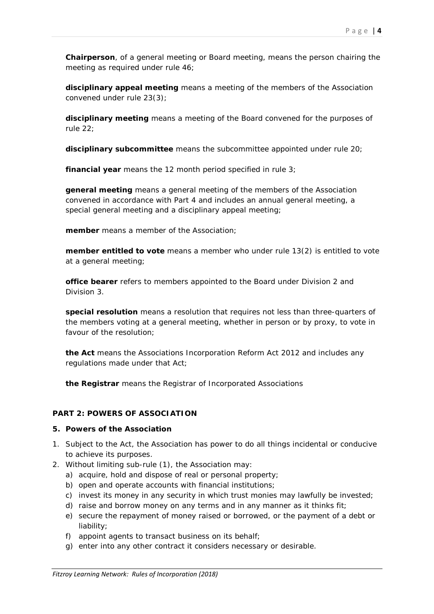*Chairperson*, of a general meeting or Board meeting, means the person chairing the meeting as required under rule 46;

*disciplinary appeal meeting* means a meeting of the members of the Association convened under rule 23(3);

*disciplinary meeting* means a meeting of the Board convened for the purposes of rule 22;

**disciplinary subcommittee** means the subcommittee appointed under rule 20;

*financial year* means the 12 month period specified in rule 3;

*general meeting* means a general meeting of the members of the Association convened in accordance with Part 4 and includes an annual general meeting, a special general meeting and a disciplinary appeal meeting;

*member* means a member of the Association;

*member entitled to vote* means a member who under rule 13(2) is entitled to vote at a general meeting;

*office bearer* refers to members appointed to the Board under Division 2 and Division 3.

*special resolution* means a resolution that requires not less than three-quarters of the members voting at a general meeting, whether in person or by proxy, to vote in favour of the resolution;

*the Act* means the Associations Incorporation Reform Act 2012 and includes any regulations made under that Act;

*the Registrar* means the Registrar of Incorporated Associations

## **PART 2: POWERS OF ASSOCIATION**

## **5. Powers of the Association**

- 1. Subject to the Act, the Association has power to do all things incidental or conducive to achieve its purposes.
- 2. Without limiting sub-rule (1), the Association may:
	- a) acquire, hold and dispose of real or personal property;
	- b) open and operate accounts with financial institutions;
	- c) invest its money in any security in which trust monies may lawfully be invested;
	- d) raise and borrow money on any terms and in any manner as it thinks fit;
	- e) secure the repayment of money raised or borrowed, or the payment of a debt or liability;
	- f) appoint agents to transact business on its behalf;
	- g) enter into any other contract it considers necessary or desirable.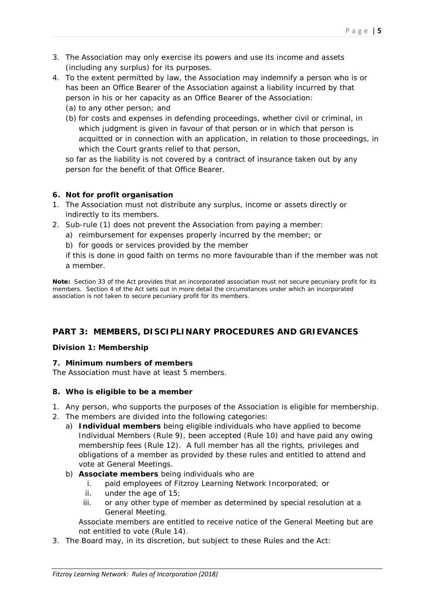- 3. The Association may only exercise its powers and use its income and assets (including any surplus) for its purposes.
- 4. To the extent permitted by law, the Association may indemnify a person who is or has been an Office Bearer of the Association against a liability incurred by that person in his or her capacity as an Office Bearer of the Association:
	- (a) to any other person; and
	- (b) for costs and expenses in defending proceedings, whether civil or criminal, in which judgment is given in favour of that person or in which that person is acquitted or in connection with an application, in relation to those proceedings, in which the Court grants relief to that person,

so far as the liability is not covered by a contract of insurance taken out by any person for the benefit of that Office Bearer.

## **6. Not for profit organisation**

- 1. The Association must not distribute any surplus, income or assets directly or indirectly to its members.
- 2. Sub-rule (1) does not prevent the Association from paying a member:
	- a) reimbursement for expenses properly incurred by the member; or
	- b) for goods or services provided by the member

if this is done in good faith on terms no more favourable than if the member was not a member.

**Note:** Section 33 of the Act provides that an incorporated association must not secure pecuniary profit for its members. Section 4 of the Act sets out in more detail the circumstances under which an incorporated association is not taken to secure pecuniary profit for its members.

# **PART 3: MEMBERS, DISCIPLINARY PROCEDURES AND GRIEVANCES**

## **Division 1: Membership**

## **7. Minimum numbers of members**

The Association must have at least 5 members.

## **8. Who is eligible to be a member**

- 1. Any person, who supports the purposes of the Association is eligible for membership.
- 2. The members are divided into the following categories:
	- a) **Individual members** being eligible individuals who have applied to become Individual Members (Rule 9), been accepted (Rule 10) and have paid any owing membership fees (Rule 12). A full member has all the rights, privileges and obligations of a member as provided by these rules and entitled to attend and vote at General Meetings.
	- b) **Associate members** being individuals who are
		- i. paid employees of Fitzroy Learning Network Incorporated; or
		- ii. under the age of 15;
		- iii. or any other type of member as determined by special resolution at a General Meeting.

Associate members are entitled to receive notice of the General Meeting but are not entitled to vote (Rule 14).

3. The Board may, in its discretion, but subject to these Rules and the Act: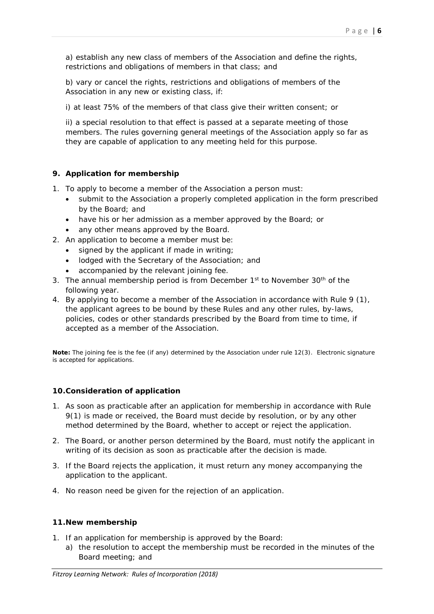a) establish any new class of members of the Association and define the rights, restrictions and obligations of members in that class; and

b) vary or cancel the rights, restrictions and obligations of members of the Association in any new or existing class, if:

i) at least 75% of the members of that class give their written consent; or

ii) a special resolution to that effect is passed at a separate meeting of those members. The rules governing general meetings of the Association apply so far as they are capable of application to any meeting held for this purpose.

## **9. Application for membership**

- 1. To apply to become a member of the Association a person must:
	- submit to the Association a properly completed application in the form prescribed by the Board; and
	- have his or her admission as a member approved by the Board; or
	- any other means approved by the Board.
- 2. An application to become a member must be:
	- signed by the applicant if made in writing;
	- lodged with the Secretary of the Association; and
	- accompanied by the relevant joining fee.
- 3. The annual membership period is from December  $1<sup>st</sup>$  to November  $30<sup>th</sup>$  of the following year.
- 4. By applying to become a member of the Association in accordance with Rule 9 (1), the applicant agrees to be bound by these Rules and any other rules, by-laws, policies, codes or other standards prescribed by the Board from time to time, if accepted as a member of the Association.

**Note:** The joining fee is the fee (if any) determined by the Association under rule 12(3). Electronic signature is accepted for applications.

## **10.Consideration of application**

- 1. As soon as practicable after an application for membership in accordance with Rule 9(1) is made or received, the Board must decide by resolution, or by any other method determined by the Board, whether to accept or reject the application.
- 2. The Board, or another person determined by the Board, must notify the applicant in writing of its decision as soon as practicable after the decision is made.
- 3. If the Board rejects the application, it must return any money accompanying the application to the applicant.
- 4. No reason need be given for the rejection of an application.

#### **11.New membership**

- 1. If an application for membership is approved by the Board:
	- a) the resolution to accept the membership must be recorded in the minutes of the Board meeting; and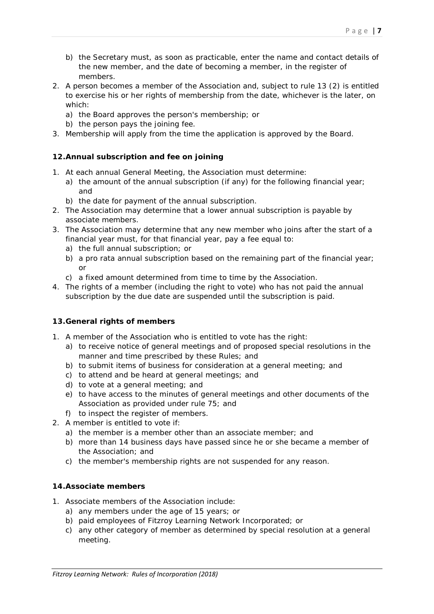Page | **7**

- b) the Secretary must, as soon as practicable, enter the name and contact details of the new member, and the date of becoming a member, in the register of members.
- 2. A person becomes a member of the Association and, subject to rule 13 (2) is entitled to exercise his or her rights of membership from the date, whichever is the later, on which:
	- a) the Board approves the person's membership; or
	- b) the person pays the joining fee.
- 3. Membership will apply from the time the application is approved by the Board.

# **12.Annual subscription and fee on joining**

- 1. At each annual General Meeting, the Association must determine:
	- a) the amount of the annual subscription (if any) for the following financial year; and
	- b) the date for payment of the annual subscription.
- 2. The Association may determine that a lower annual subscription is payable by associate members.
- 3. The Association may determine that any new member who joins after the start of a financial year must, for that financial year, pay a fee equal to:
	- a) the full annual subscription; or
	- b) a pro rata annual subscription based on the remaining part of the financial year; or
	- c) a fixed amount determined from time to time by the Association.
- 4. The rights of a member (including the right to vote) who has not paid the annual subscription by the due date are suspended until the subscription is paid.

# **13.General rights of members**

- 1. A member of the Association who is entitled to vote has the right:
	- a) to receive notice of general meetings and of proposed special resolutions in the manner and time prescribed by these Rules; and
	- b) to submit items of business for consideration at a general meeting; and
	- c) to attend and be heard at general meetings; and
	- d) to vote at a general meeting; and
	- e) to have access to the minutes of general meetings and other documents of the Association as provided under rule 75; and
	- f) to inspect the register of members.
- 2. A member is entitled to vote if:
	- a) the member is a member other than an associate member; and
	- b) more than 14 business days have passed since he or she became a member of the Association; and
	- c) the member's membership rights are not suspended for any reason.

# **14.Associate members**

- 1. Associate members of the Association include:
	- a) any members under the age of 15 years; or
	- b) paid employees of Fitzroy Learning Network Incorporated; or
	- c) any other category of member as determined by special resolution at a general meeting.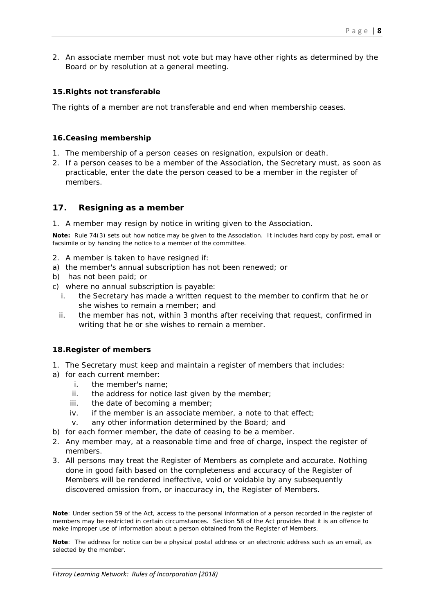2. An associate member must not vote but may have other rights as determined by the Board or by resolution at a general meeting.

## **15.Rights not transferable**

The rights of a member are not transferable and end when membership ceases.

#### **16.Ceasing membership**

- 1. The membership of a person ceases on resignation, expulsion or death.
- 2. If a person ceases to be a member of the Association, the Secretary must, as soon as practicable, enter the date the person ceased to be a member in the register of members.

## **17. Resigning as a member**

1. A member may resign by notice in writing given to the Association.

**Note:** Rule 74(3) sets out how notice may be given to the Association. It includes hard copy by post, email or facsimile or by handing the notice to a member of the committee.

- 2. A member is taken to have resigned if:
- a) the member's annual subscription has not been renewed; or
- b) has not been paid; or
- c) where no annual subscription is payable:
	- i. the Secretary has made a written request to the member to confirm that he or she wishes to remain a member; and
	- ii. the member has not, within 3 months after receiving that request, confirmed in writing that he or she wishes to remain a member.

## **18.Register of members**

- 1. The Secretary must keep and maintain a register of members that includes:
- a) for each current member:
	- i. the member's name;
	- ii. the address for notice last given by the member;
	- iii. the date of becoming a member;
	- iv. if the member is an associate member, a note to that effect;
	- v. any other information determined by the Board; and
- b) for each former member, the date of ceasing to be a member.
- 2. Any member may, at a reasonable time and free of charge, inspect the register of members.
- 3. All persons may treat the Register of Members as complete and accurate. Nothing done in good faith based on the completeness and accuracy of the Register of Members will be rendered ineffective, void or voidable by any subsequently discovered omission from, or inaccuracy in, the Register of Members.

**Note**: Under section 59 of the Act, access to the personal information of a person recorded in the register of members may be restricted in certain circumstances. Section 58 of the Act provides that it is an offence to make improper use of information about a person obtained from the Register of Members.

**Note**: The address for notice can be a physical postal address or an electronic address such as an email, as selected by the member.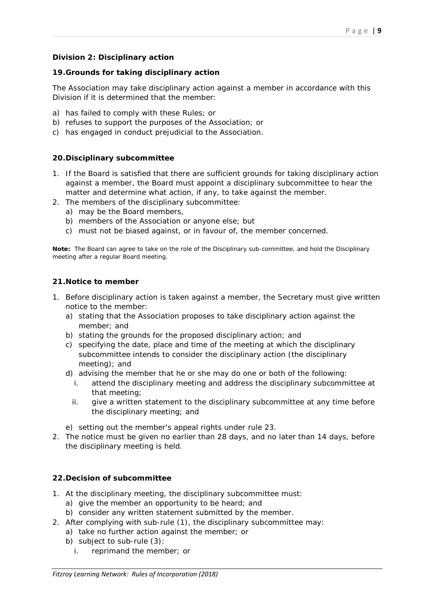## **Division 2: Disciplinary action**

#### **19.Grounds for taking disciplinary action**

The Association may take disciplinary action against a member in accordance with this Division if it is determined that the member:

- a) has failed to comply with these Rules; or
- b) refuses to support the purposes of the Association; or
- c) has engaged in conduct prejudicial to the Association.

#### **20.Disciplinary subcommittee**

- 1. If the Board is satisfied that there are sufficient grounds for taking disciplinary action against a member, the Board must appoint a disciplinary subcommittee to hear the matter and determine what action, if any, to take against the member.
- 2. The members of the disciplinary subcommittee:
	- a) may be the Board members,
	- b) members of the Association or anyone else; but
	- c) must not be biased against, or in favour of, the member concerned.

**Note:** The Board can agree to take on the role of the Disciplinary sub-committee, and hold the Disciplinary meeting after a regular Board meeting.

#### **21.Notice to member**

- 1. Before disciplinary action is taken against a member, the Secretary must give written notice to the member:
	- a) stating that the Association proposes to take disciplinary action against the member; and
	- b) stating the grounds for the proposed disciplinary action; and
	- c) specifying the date, place and time of the meeting at which the disciplinary subcommittee intends to consider the disciplinary action (the disciplinary meeting); and
	- d) advising the member that he or she may do one or both of the following:
		- i. attend the disciplinary meeting and address the disciplinary subcommittee at that meeting;
		- ii. give a written statement to the disciplinary subcommittee at any time before the disciplinary meeting; and
	- e) setting out the member's appeal rights under rule 23.
- 2. The notice must be given no earlier than 28 days, and no later than 14 days, before the disciplinary meeting is held.

## **22.Decision of subcommittee**

- 1. At the disciplinary meeting, the disciplinary subcommittee must:
	- a) give the member an opportunity to be heard; and
	- b) consider any written statement submitted by the member.
- 2. After complying with sub-rule (1), the disciplinary subcommittee may:
	- a) take no further action against the member; or
		- b) subject to sub-rule (3):
			- i. reprimand the member; or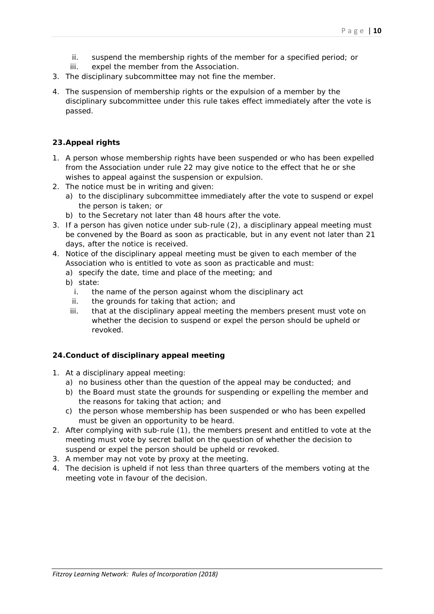- ii. suspend the membership rights of the member for a specified period; or
- iii. expel the member from the Association.
- 3. The disciplinary subcommittee may not fine the member.
- 4. The suspension of membership rights or the expulsion of a member by the disciplinary subcommittee under this rule takes effect immediately after the vote is passed.

## **23.Appeal rights**

- 1. A person whose membership rights have been suspended or who has been expelled from the Association under rule 22 may give notice to the effect that he or she wishes to appeal against the suspension or expulsion.
- 2. The notice must be in writing and given:
	- a) to the disciplinary subcommittee immediately after the vote to suspend or expel the person is taken; or
	- b) to the Secretary not later than 48 hours after the vote.
- 3. If a person has given notice under sub-rule (2), a disciplinary appeal meeting must be convened by the Board as soon as practicable, but in any event not later than 21 days, after the notice is received.
- 4. Notice of the disciplinary appeal meeting must be given to each member of the Association who is entitled to vote as soon as practicable and must:
	- a) specify the date, time and place of the meeting; and
	- b) state:
		- i. the name of the person against whom the disciplinary act
		- ii. the grounds for taking that action; and
		- iii. that at the disciplinary appeal meeting the members present must vote on whether the decision to suspend or expel the person should be upheld or revoked.

## **24.Conduct of disciplinary appeal meeting**

- 1. At a disciplinary appeal meeting:
	- a) no business other than the question of the appeal may be conducted; and
	- b) the Board must state the grounds for suspending or expelling the member and the reasons for taking that action; and
	- c) the person whose membership has been suspended or who has been expelled must be given an opportunity to be heard.
- 2. After complying with sub-rule (1), the members present and entitled to vote at the meeting must vote by secret ballot on the question of whether the decision to suspend or expel the person should be upheld or revoked.
- 3. A member may not vote by proxy at the meeting.
- 4. The decision is upheld if not less than three quarters of the members voting at the meeting vote in favour of the decision.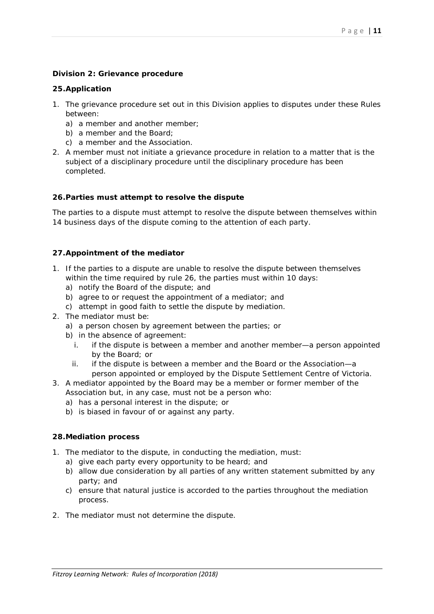#### **Division 2: Grievance procedure**

#### **25.Application**

- 1. The grievance procedure set out in this Division applies to disputes under these Rules between:
	- a) a member and another member;
	- b) a member and the Board;
	- c) a member and the Association.
- 2. A member must not initiate a grievance procedure in relation to a matter that is the subject of a disciplinary procedure until the disciplinary procedure has been completed.

#### **26.Parties must attempt to resolve the dispute**

The parties to a dispute must attempt to resolve the dispute between themselves within 14 business days of the dispute coming to the attention of each party.

#### **27.Appointment of the mediator**

- 1. If the parties to a dispute are unable to resolve the dispute between themselves within the time required by rule 26, the parties must within 10 days:
	- a) notify the Board of the dispute; and
	- b) agree to or request the appointment of a mediator; and
	- c) attempt in good faith to settle the dispute by mediation.
- 2. The mediator must be:
	- a) a person chosen by agreement between the parties; or
	- b) in the absence of agreement:
		- i. if the dispute is between a member and another member—a person appointed by the Board; or
		- ii. if the dispute is between a member and the Board or the Association—a person appointed or employed by the Dispute Settlement Centre of Victoria.
- 3. A mediator appointed by the Board may be a member or former member of the Association but, in any case, must not be a person who:
	- a) has a personal interest in the dispute; or
	- b) is biased in favour of or against any party.

#### **28.Mediation process**

- 1. The mediator to the dispute, in conducting the mediation, must:
	- a) give each party every opportunity to be heard; and
	- b) allow due consideration by all parties of any written statement submitted by any party; and
	- c) ensure that natural justice is accorded to the parties throughout the mediation process.
- 2. The mediator must not determine the dispute.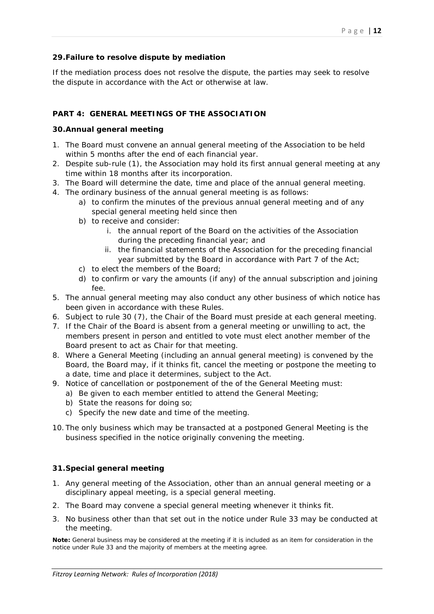## **29.Failure to resolve dispute by mediation**

If the mediation process does not resolve the dispute, the parties may seek to resolve the dispute in accordance with the Act or otherwise at law.

## **PART 4: GENERAL MEETINGS OF THE ASSOCIATION**

#### **30.Annual general meeting**

- 1. The Board must convene an annual general meeting of the Association to be held within 5 months after the end of each financial year.
- 2. Despite sub-rule (1), the Association may hold its first annual general meeting at any time within 18 months after its incorporation.
- 3. The Board will determine the date, time and place of the annual general meeting.
- 4. The ordinary business of the annual general meeting is as follows:
	- a) to confirm the minutes of the previous annual general meeting and of any special general meeting held since then
	- b) to receive and consider:
		- i. the annual report of the Board on the activities of the Association during the preceding financial year; and
		- ii. the financial statements of the Association for the preceding financial year submitted by the Board in accordance with Part 7 of the Act;
	- c) to elect the members of the Board;
	- d) to confirm or vary the amounts (if any) of the annual subscription and joining fee.
- 5. The annual general meeting may also conduct any other business of which notice has been given in accordance with these Rules.
- 6. Subject to rule 30 (7), the Chair of the Board must preside at each general meeting.
- 7. If the Chair of the Board is absent from a general meeting or unwilling to act, the members present in person and entitled to vote must elect another member of the Board present to act as Chair for that meeting.
- 8. Where a General Meeting (including an annual general meeting) is convened by the Board, the Board may, if it thinks fit, cancel the meeting or postpone the meeting to a date, time and place it determines, subject to the Act.
- 9. Notice of cancellation or postponement of the of the General Meeting must:
	- a) Be given to each member entitled to attend the General Meeting;
		- b) State the reasons for doing so;
		- c) Specify the new date and time of the meeting.
- 10. The only business which may be transacted at a postponed General Meeting is the business specified in the notice originally convening the meeting.

## **31.Special general meeting**

- 1. Any general meeting of the Association, other than an annual general meeting or a disciplinary appeal meeting, is a special general meeting.
- 2. The Board may convene a special general meeting whenever it thinks fit.
- 3. No business other than that set out in the notice under Rule 33 may be conducted at the meeting.

**Note:** General business may be considered at the meeting if it is included as an item for consideration in the notice under Rule 33 and the majority of members at the meeting agree.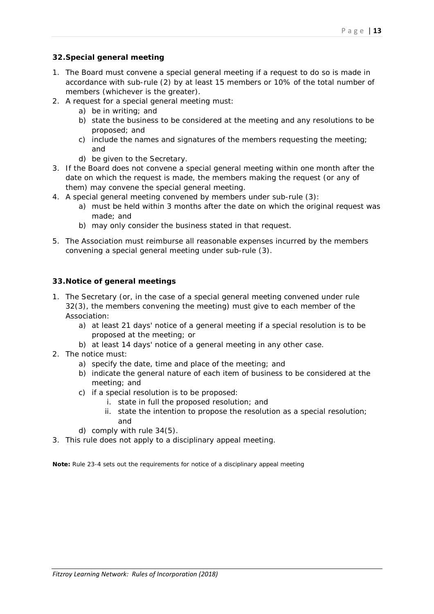## **32.Special general meeting**

- 1. The Board must convene a special general meeting if a request to do so is made in accordance with sub-rule (2) by at least 15 members or 10% of the total number of members (whichever is the greater).
- 2. A request for a special general meeting must:
	- a) be in writing; and
	- b) state the business to be considered at the meeting and any resolutions to be proposed; and
	- c) include the names and signatures of the members requesting the meeting; and
	- d) be given to the Secretary.
- 3. If the Board does not convene a special general meeting within one month after the date on which the request is made, the members making the request (or any of them) may convene the special general meeting.
- 4. A special general meeting convened by members under sub-rule (3):
	- a) must be held within 3 months after the date on which the original request was made; and
	- b) may only consider the business stated in that request.
- 5. The Association must reimburse all reasonable expenses incurred by the members convening a special general meeting under sub-rule (3).

## **33.Notice of general meetings**

- 1. The Secretary (or, in the case of a special general meeting convened under rule 32(3), the members convening the meeting) must give to each member of the Association:
	- a) at least 21 days' notice of a general meeting if a special resolution is to be proposed at the meeting; or
	- b) at least 14 days' notice of a general meeting in any other case.
- 2. The notice must:
	- a) specify the date, time and place of the meeting; and
	- b) indicate the general nature of each item of business to be considered at the meeting; and
	- c) if a special resolution is to be proposed:
		- i. state in full the proposed resolution; and
		- ii. state the intention to propose the resolution as a special resolution; and
	- d) comply with rule 34(5).
- 3. This rule does not apply to a disciplinary appeal meeting.

**Note:** Rule 23-4 sets out the requirements for notice of a disciplinary appeal meeting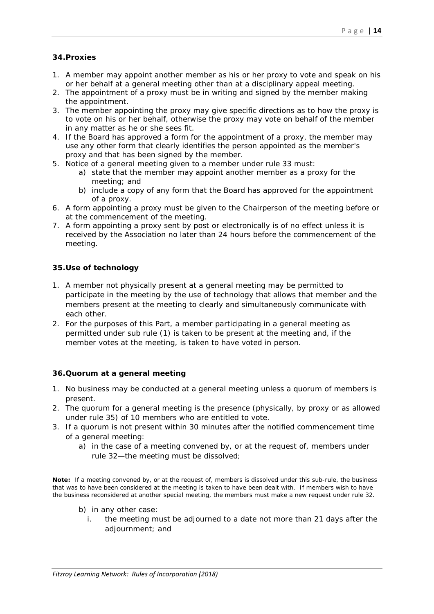## **34.Proxies**

- 1. A member may appoint another member as his or her proxy to vote and speak on his or her behalf at a general meeting other than at a disciplinary appeal meeting.
- 2. The appointment of a proxy must be in writing and signed by the member making the appointment.
- 3. The member appointing the proxy may give specific directions as to how the proxy is to vote on his or her behalf, otherwise the proxy may vote on behalf of the member in any matter as he or she sees fit.
- 4. If the Board has approved a form for the appointment of a proxy, the member may use any other form that clearly identifies the person appointed as the member's proxy and that has been signed by the member.
- 5. Notice of a general meeting given to a member under rule 33 must:
	- a) state that the member may appoint another member as a proxy for the meeting; and
	- b) include a copy of any form that the Board has approved for the appointment of a proxy.
- 6. A form appointing a proxy must be given to the Chairperson of the meeting before or at the commencement of the meeting.
- 7. A form appointing a proxy sent by post or electronically is of no effect unless it is received by the Association no later than 24 hours before the commencement of the meeting.

#### **35.Use of technology**

- 1. A member not physically present at a general meeting may be permitted to participate in the meeting by the use of technology that allows that member and the members present at the meeting to clearly and simultaneously communicate with each other.
- 2. For the purposes of this Part, a member participating in a general meeting as permitted under sub rule (1) is taken to be present at the meeting and, if the member votes at the meeting, is taken to have voted in person.

## **36.Quorum at a general meeting**

- 1. No business may be conducted at a general meeting unless a quorum of members is present.
- 2. The quorum for a general meeting is the presence (physically, by proxy or as allowed under rule 35) of 10 members who are entitled to vote.
- 3. If a quorum is not present within 30 minutes after the notified commencement time of a general meeting:
	- a) in the case of a meeting convened by, or at the request of, members under rule 32—the meeting must be dissolved;

**Note:** If a meeting convened by, or at the request of, members is dissolved under this sub-rule, the business that was to have been considered at the meeting is taken to have been dealt with. If members wish to have the business reconsidered at another special meeting, the members must make a new request under rule 32.

- b) in any other case:
	- i. the meeting must be adjourned to a date not more than 21 days after the adjournment; and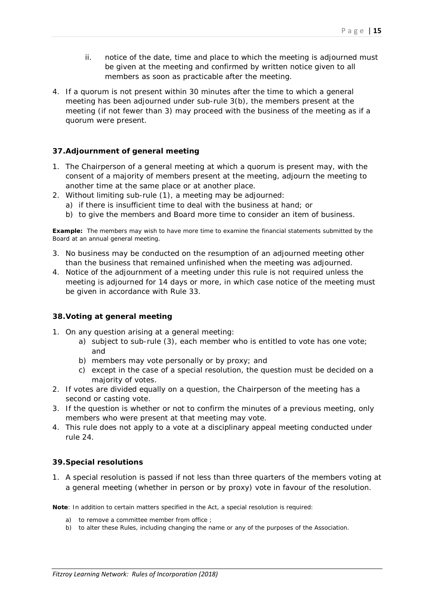- ii. notice of the date, time and place to which the meeting is adjourned must be given at the meeting and confirmed by written notice given to all members as soon as practicable after the meeting.
- 4. If a quorum is not present within 30 minutes after the time to which a general meeting has been adjourned under sub-rule 3(b), the members present at the meeting (if not fewer than 3) may proceed with the business of the meeting as if a quorum were present.

#### **37.Adjournment of general meeting**

- 1. The Chairperson of a general meeting at which a quorum is present may, with the consent of a majority of members present at the meeting, adjourn the meeting to another time at the same place or at another place.
- 2. Without limiting sub-rule (1), a meeting may be adjourned:
	- a) if there is insufficient time to deal with the business at hand; or
	- b) to give the members and Board more time to consider an item of business.

**Example:** The members may wish to have more time to examine the financial statements submitted by the Board at an annual general meeting.

- 3. No business may be conducted on the resumption of an adjourned meeting other than the business that remained unfinished when the meeting was adjourned.
- 4. Notice of the adjournment of a meeting under this rule is not required unless the meeting is adjourned for 14 days or more, in which case notice of the meeting must be given in accordance with Rule 33.

#### **38.Voting at general meeting**

- 1. On any question arising at a general meeting:
	- a) subject to sub-rule (3), each member who is entitled to vote has one vote; and
	- b) members may vote personally or by proxy; and
	- c) except in the case of a special resolution, the question must be decided on a majority of votes.
- 2. If votes are divided equally on a question, the Chairperson of the meeting has a second or casting vote.
- 3. If the question is whether or not to confirm the minutes of a previous meeting, only members who were present at that meeting may vote.
- 4. This rule does not apply to a vote at a disciplinary appeal meeting conducted under rule 24.

#### **39.Special resolutions**

1. A special resolution is passed if not less than three quarters of the members voting at a general meeting (whether in person or by proxy) vote in favour of the resolution.

**Note**: In addition to certain matters specified in the Act, a special resolution is required:

- a) to remove a committee member from office ;
- b) to alter these Rules, including changing the name or any of the purposes of the Association.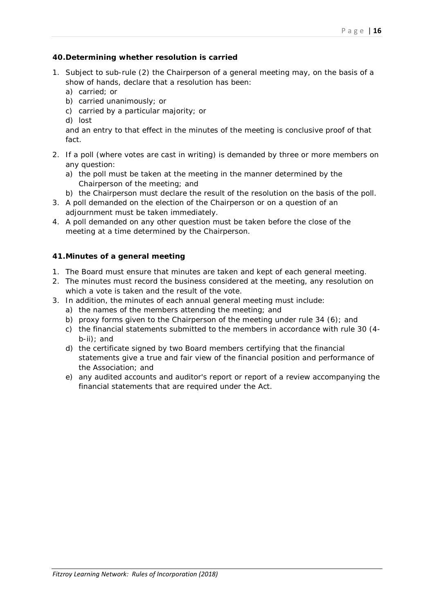## **40.Determining whether resolution is carried**

- 1. Subject to sub-rule (2) the Chairperson of a general meeting may, on the basis of a show of hands, declare that a resolution has been:
	- a) carried; or
	- b) carried unanimously; or
	- c) carried by a particular majority; or
	- d) lost

and an entry to that effect in the minutes of the meeting is conclusive proof of that fact.

- 2. If a poll (where votes are cast in writing) is demanded by three or more members on any question:
	- a) the poll must be taken at the meeting in the manner determined by the Chairperson of the meeting; and
	- b) the Chairperson must declare the result of the resolution on the basis of the poll.
- 3. A poll demanded on the election of the Chairperson or on a question of an adjournment must be taken immediately.
- 4. A poll demanded on any other question must be taken before the close of the meeting at a time determined by the Chairperson.

## **41.Minutes of a general meeting**

- 1. The Board must ensure that minutes are taken and kept of each general meeting.
- 2. The minutes must record the business considered at the meeting, any resolution on which a vote is taken and the result of the vote.
- 3. In addition, the minutes of each annual general meeting must include:
	- a) the names of the members attending the meeting; and
	- b) proxy forms given to the Chairperson of the meeting under rule 34 (6); and
	- c) the financial statements submitted to the members in accordance with rule 30 (4 b-ii); and
	- d) the certificate signed by two Board members certifying that the financial statements give a true and fair view of the financial position and performance of the Association; and
	- e) any audited accounts and auditor's report or report of a review accompanying the financial statements that are required under the Act.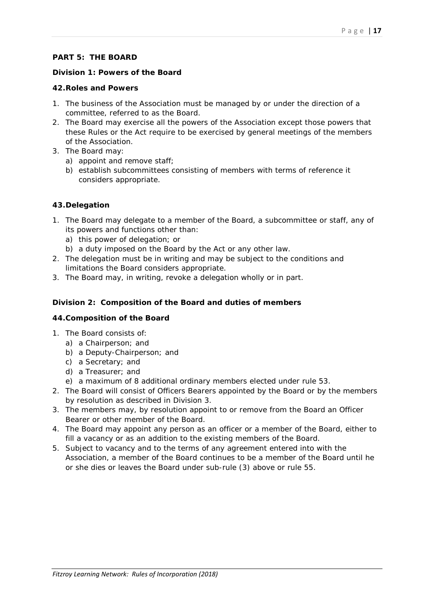## **PART 5: THE BOARD**

## **Division 1: Powers of the Board**

#### **42.Roles and Powers**

- 1. The business of the Association must be managed by or under the direction of a committee, referred to as the Board.
- 2. The Board may exercise all the powers of the Association except those powers that these Rules or the Act require to be exercised by general meetings of the members of the Association.
- 3. The Board may:
	- a) appoint and remove staff;
	- b) establish subcommittees consisting of members with terms of reference it considers appropriate.

## **43.Delegation**

- 1. The Board may delegate to a member of the Board, a subcommittee or staff, any of its powers and functions other than:
	- a) this power of delegation; or
	- b) a duty imposed on the Board by the Act or any other law.
- 2. The delegation must be in writing and may be subject to the conditions and limitations the Board considers appropriate.
- 3. The Board may, in writing, revoke a delegation wholly or in part.

## **Division 2: Composition of the Board and duties of members**

## **44.Composition of the Board**

- 1. The Board consists of:
	- a) a Chairperson; and
	- b) a Deputy-Chairperson; and
	- c) a Secretary; and
	- d) a Treasurer; and
	- e) a maximum of 8 additional ordinary members elected under rule 53.
- 2. The Board will consist of Officers Bearers appointed by the Board or by the members by resolution as described in Division 3.
- 3. The members may, by resolution appoint to or remove from the Board an Officer Bearer or other member of the Board.
- 4. The Board may appoint any person as an officer or a member of the Board, either to fill a vacancy or as an addition to the existing members of the Board.
- 5. Subject to vacancy and to the terms of any agreement entered into with the Association, a member of the Board continues to be a member of the Board until he or she dies or leaves the Board under sub-rule (3) above or rule 55.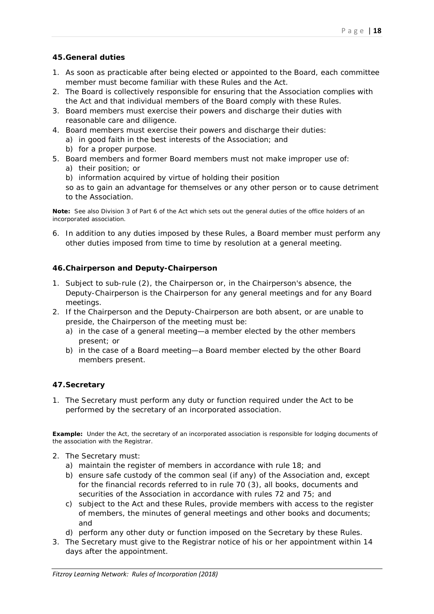## **45.General duties**

- 1. As soon as practicable after being elected or appointed to the Board, each committee member must become familiar with these Rules and the Act.
- 2. The Board is collectively responsible for ensuring that the Association complies with the Act and that individual members of the Board comply with these Rules.
- 3. Board members must exercise their powers and discharge their duties with reasonable care and diligence.
- 4. Board members must exercise their powers and discharge their duties:
	- a) in good faith in the best interests of the Association; and
	- b) for a proper purpose.
- 5. Board members and former Board members must not make improper use of:
	- a) their position; or
	- b) information acquired by virtue of holding their position

so as to gain an advantage for themselves or any other person or to cause detriment to the Association.

**Note:** See also Division 3 of Part 6 of the Act which sets out the general duties of the office holders of an incorporated association.

6. In addition to any duties imposed by these Rules, a Board member must perform any other duties imposed from time to time by resolution at a general meeting.

## **46.Chairperson and Deputy-Chairperson**

- 1. Subject to sub-rule (2), the Chairperson or, in the Chairperson's absence, the Deputy-Chairperson is the Chairperson for any general meetings and for any Board meetings.
- 2. If the Chairperson and the Deputy-Chairperson are both absent, or are unable to preside, the Chairperson of the meeting must be:
	- a) in the case of a general meeting—a member elected by the other members present; or
	- b) in the case of a Board meeting—a Board member elected by the other Board members present.

## **47.Secretary**

1. The Secretary must perform any duty or function required under the Act to be performed by the secretary of an incorporated association.

**Example:** Under the Act, the secretary of an incorporated association is responsible for lodging documents of the association with the Registrar.

- 2. The Secretary must:
	- a) maintain the register of members in accordance with rule 18; and
	- b) ensure safe custody of the common seal (if any) of the Association and, except for the financial records referred to in rule 70 (3), all books, documents and securities of the Association in accordance with rules 72 and 75; and
	- c) subject to the Act and these Rules, provide members with access to the register of members, the minutes of general meetings and other books and documents; and
	- d) perform any other duty or function imposed on the Secretary by these Rules.
- 3. The Secretary must give to the Registrar notice of his or her appointment within 14 days after the appointment.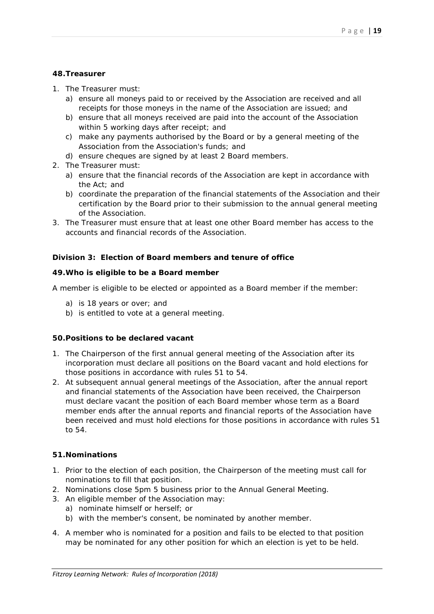#### **48.Treasurer**

- 1. The Treasurer must:
	- a) ensure all moneys paid to or received by the Association are received and all receipts for those moneys in the name of the Association are issued; and
	- b) ensure that all moneys received are paid into the account of the Association within 5 working days after receipt; and
	- c) make any payments authorised by the Board or by a general meeting of the Association from the Association's funds; and
	- d) ensure cheques are signed by at least 2 Board members.
- 2. The Treasurer must:
	- a) ensure that the financial records of the Association are kept in accordance with the Act; and
	- b) coordinate the preparation of the financial statements of the Association and their certification by the Board prior to their submission to the annual general meeting of the Association.
- 3. The Treasurer must ensure that at least one other Board member has access to the accounts and financial records of the Association.

#### **Division 3: Election of Board members and tenure of office**

#### **49.Who is eligible to be a Board member**

A member is eligible to be elected or appointed as a Board member if the member:

- a) is 18 years or over; and
- b) is entitled to vote at a general meeting.

#### **50.Positions to be declared vacant**

- 1. The Chairperson of the first annual general meeting of the Association after its incorporation must declare all positions on the Board vacant and hold elections for those positions in accordance with rules 51 to 54.
- 2. At subsequent annual general meetings of the Association, after the annual report and financial statements of the Association have been received, the Chairperson must declare vacant the position of each Board member whose term as a Board member ends after the annual reports and financial reports of the Association have been received and must hold elections for those positions in accordance with rules 51 to 54.

#### **51.Nominations**

- 1. Prior to the election of each position, the Chairperson of the meeting must call for nominations to fill that position.
- 2. Nominations close 5pm 5 business prior to the Annual General Meeting.
- 3. An eligible member of the Association may:
	- a) nominate himself or herself; or
	- b) with the member's consent, be nominated by another member.
- 4. A member who is nominated for a position and fails to be elected to that position may be nominated for any other position for which an election is yet to be held.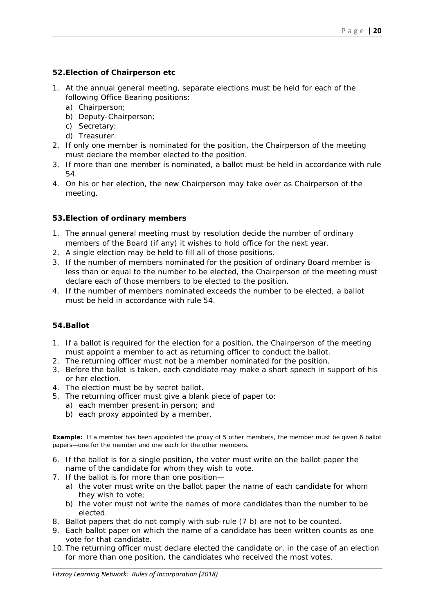## **52.Election of Chairperson etc**

- 1. At the annual general meeting, separate elections must be held for each of the following Office Bearing positions:
	- a) Chairperson;
	- b) Deputy-Chairperson;
	- c) Secretary;
	- d) Treasurer.
- 2. If only one member is nominated for the position, the Chairperson of the meeting must declare the member elected to the position.
- 3. If more than one member is nominated, a ballot must be held in accordance with rule 54.
- 4. On his or her election, the new Chairperson may take over as Chairperson of the meeting.

#### **53.Election of ordinary members**

- 1. The annual general meeting must by resolution decide the number of ordinary members of the Board (if any) it wishes to hold office for the next year.
- 2. A single election may be held to fill all of those positions.
- 3. If the number of members nominated for the position of ordinary Board member is less than or equal to the number to be elected, the Chairperson of the meeting must declare each of those members to be elected to the position.
- 4. If the number of members nominated exceeds the number to be elected, a ballot must be held in accordance with rule 54.

## **54.Ballot**

- 1. If a ballot is required for the election for a position, the Chairperson of the meeting must appoint a member to act as returning officer to conduct the ballot.
- 2. The returning officer must not be a member nominated for the position.
- 3. Before the ballot is taken, each candidate may make a short speech in support of his or her election.
- 4. The election must be by secret ballot.
- 5. The returning officer must give a blank piece of paper to:
	- a) each member present in person; and
	- b) each proxy appointed by a member.

**Example:** If a member has been appointed the proxy of 5 other members, the member must be given 6 ballot papers—one for the member and one each for the other members.

- 6. If the ballot is for a single position, the voter must write on the ballot paper the name of the candidate for whom they wish to vote.
- 7. If the ballot is for more than one position
	- a) the voter must write on the ballot paper the name of each candidate for whom they wish to vote;
	- b) the voter must not write the names of more candidates than the number to be elected.
- 8. Ballot papers that do not comply with sub-rule (7 b) are not to be counted.
- 9. Each ballot paper on which the name of a candidate has been written counts as one vote for that candidate.
- 10. The returning officer must declare elected the candidate or, in the case of an election for more than one position, the candidates who received the most votes.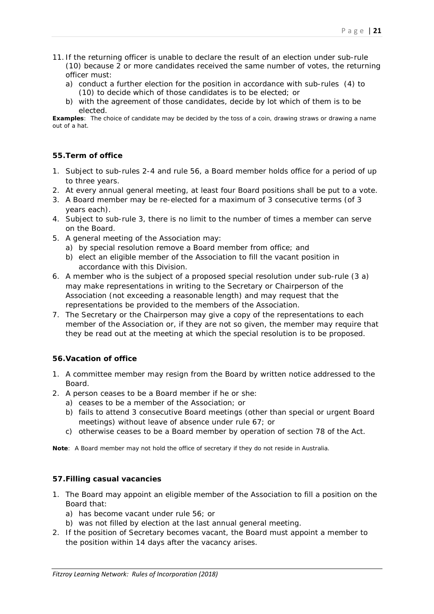- 11. If the returning officer is unable to declare the result of an election under sub-rule (10) because 2 or more candidates received the same number of votes, the returning officer must:
	- a) conduct a further election for the position in accordance with sub-rules (4) to (10) to decide which of those candidates is to be elected; or
	- b) with the agreement of those candidates, decide by lot which of them is to be elected.

**Examples**: The choice of candidate may be decided by the toss of a coin, drawing straws or drawing a name out of a hat.

## **55.Term of office**

- 1. Subject to sub-rules 2-4 and rule 56, a Board member holds office for a period of up to three years.
- 2. At every annual general meeting, at least four Board positions shall be put to a vote.
- 3. A Board member may be re-elected for a maximum of 3 consecutive terms (of 3 years each).
- 4. Subject to sub-rule 3, there is no limit to the number of times a member can serve on the Board.
- 5. A general meeting of the Association may:
	- a) by special resolution remove a Board member from office; and
	- b) elect an eligible member of the Association to fill the vacant position in accordance with this Division.
- 6. A member who is the subject of a proposed special resolution under sub-rule (3 a) may make representations in writing to the Secretary or Chairperson of the Association (not exceeding a reasonable length) and may request that the representations be provided to the members of the Association.
- 7. The Secretary or the Chairperson may give a copy of the representations to each member of the Association or, if they are not so given, the member may require that they be read out at the meeting at which the special resolution is to be proposed.

## **56.Vacation of office**

- 1. A committee member may resign from the Board by written notice addressed to the Board.
- 2. A person ceases to be a Board member if he or she:
	- a) ceases to be a member of the Association; or
	- b) fails to attend 3 consecutive Board meetings (other than special or urgent Board meetings) without leave of absence under rule 67; or
	- c) otherwise ceases to be a Board member by operation of section 78 of the Act.

**Note**: A Board member may not hold the office of secretary if they do not reside in Australia.

## **57.Filling casual vacancies**

- 1. The Board may appoint an eligible member of the Association to fill a position on the Board that:
	- a) has become vacant under rule 56; or
	- b) was not filled by election at the last annual general meeting.
- 2. If the position of Secretary becomes vacant, the Board must appoint a member to the position within 14 days after the vacancy arises.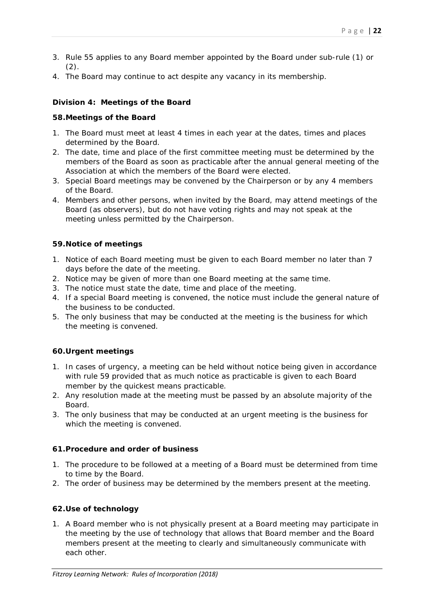- 3. Rule 55 applies to any Board member appointed by the Board under sub-rule (1) or  $(2)$ .
- 4. The Board may continue to act despite any vacancy in its membership.

## **Division 4: Meetings of the Board**

#### **58.Meetings of the Board**

- 1. The Board must meet at least 4 times in each year at the dates, times and places determined by the Board.
- 2. The date, time and place of the first committee meeting must be determined by the members of the Board as soon as practicable after the annual general meeting of the Association at which the members of the Board were elected.
- 3. Special Board meetings may be convened by the Chairperson or by any 4 members of the Board.
- 4. Members and other persons, when invited by the Board, may attend meetings of the Board (as observers), but do not have voting rights and may not speak at the meeting unless permitted by the Chairperson.

## **59.Notice of meetings**

- 1. Notice of each Board meeting must be given to each Board member no later than 7 days before the date of the meeting.
- 2. Notice may be given of more than one Board meeting at the same time.
- 3. The notice must state the date, time and place of the meeting.
- 4. If a special Board meeting is convened, the notice must include the general nature of the business to be conducted.
- 5. The only business that may be conducted at the meeting is the business for which the meeting is convened.

## **60.Urgent meetings**

- 1. In cases of urgency, a meeting can be held without notice being given in accordance with rule 59 provided that as much notice as practicable is given to each Board member by the quickest means practicable.
- 2. Any resolution made at the meeting must be passed by an absolute majority of the Board.
- 3. The only business that may be conducted at an urgent meeting is the business for which the meeting is convened.

## **61.Procedure and order of business**

- 1. The procedure to be followed at a meeting of a Board must be determined from time to time by the Board.
- 2. The order of business may be determined by the members present at the meeting.

## **62.Use of technology**

1. A Board member who is not physically present at a Board meeting may participate in the meeting by the use of technology that allows that Board member and the Board members present at the meeting to clearly and simultaneously communicate with each other.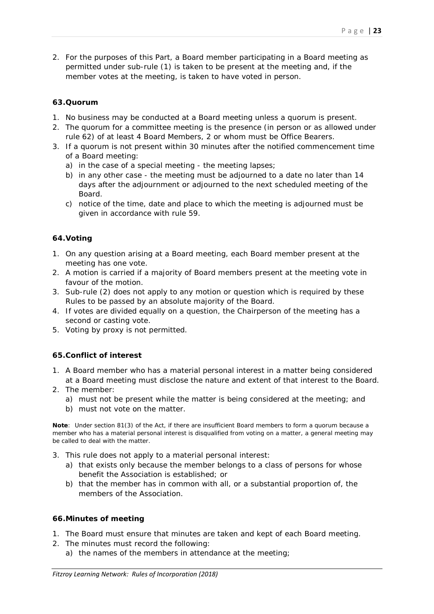2. For the purposes of this Part, a Board member participating in a Board meeting as permitted under sub-rule (1) is taken to be present at the meeting and, if the member votes at the meeting, is taken to have voted in person.

#### **63.Quorum**

- 1. No business may be conducted at a Board meeting unless a quorum is present.
- 2. The quorum for a committee meeting is the presence (in person or as allowed under rule 62) of at least 4 Board Members, 2 or whom must be Office Bearers.
- 3. If a quorum is not present within 30 minutes after the notified commencement time of a Board meeting:
	- a) in the case of a special meeting the meeting lapses;
	- b) in any other case the meeting must be adjourned to a date no later than 14 days after the adjournment or adjourned to the next scheduled meeting of the Board.
	- c) notice of the time, date and place to which the meeting is adjourned must be given in accordance with rule 59.

## **64.Voting**

- 1. On any question arising at a Board meeting, each Board member present at the meeting has one vote.
- 2. A motion is carried if a majority of Board members present at the meeting vote in favour of the motion.
- 3. Sub-rule (2) does not apply to any motion or question which is required by these Rules to be passed by an absolute majority of the Board.
- 4. If votes are divided equally on a question, the Chairperson of the meeting has a second or casting vote.
- 5. Voting by proxy is not permitted.

## **65.Conflict of interest**

- 1. A Board member who has a material personal interest in a matter being considered at a Board meeting must disclose the nature and extent of that interest to the Board.
- 2. The member:
	- a) must not be present while the matter is being considered at the meeting; and
	- b) must not vote on the matter.

**Note**: Under section 81(3) of the Act, if there are insufficient Board members to form a quorum because a member who has a material personal interest is disqualified from voting on a matter, a general meeting may be called to deal with the matter.

- 3. This rule does not apply to a material personal interest:
	- a) that exists only because the member belongs to a class of persons for whose benefit the Association is established; or
	- b) that the member has in common with all, or a substantial proportion of, the members of the Association.

## **66.Minutes of meeting**

- 1. The Board must ensure that minutes are taken and kept of each Board meeting.
- 2. The minutes must record the following:
	- a) the names of the members in attendance at the meeting;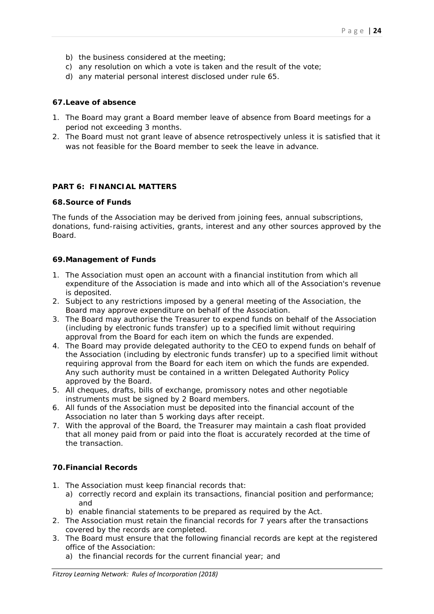- b) the business considered at the meeting;
- c) any resolution on which a vote is taken and the result of the vote;
- d) any material personal interest disclosed under rule 65.

#### **67.Leave of absence**

- 1. The Board may grant a Board member leave of absence from Board meetings for a period not exceeding 3 months.
- 2. The Board must not grant leave of absence retrospectively unless it is satisfied that it was not feasible for the Board member to seek the leave in advance.

## **PART 6: FINANCIAL MATTERS**

#### **68.Source of Funds**

The funds of the Association may be derived from joining fees, annual subscriptions, donations, fund-raising activities, grants, interest and any other sources approved by the Board.

#### **69.Management of Funds**

- 1. The Association must open an account with a financial institution from which all expenditure of the Association is made and into which all of the Association's revenue is deposited.
- 2. Subject to any restrictions imposed by a general meeting of the Association, the Board may approve expenditure on behalf of the Association.
- 3. The Board may authorise the Treasurer to expend funds on behalf of the Association (including by electronic funds transfer) up to a specified limit without requiring approval from the Board for each item on which the funds are expended.
- 4. The Board may provide delegated authority to the CEO to expend funds on behalf of the Association (including by electronic funds transfer) up to a specified limit without requiring approval from the Board for each item on which the funds are expended. Any such authority must be contained in a written Delegated Authority Policy approved by the Board.
- 5. All cheques, drafts, bills of exchange, promissory notes and other negotiable instruments must be signed by 2 Board members.
- 6. All funds of the Association must be deposited into the financial account of the Association no later than 5 working days after receipt.
- 7. With the approval of the Board, the Treasurer may maintain a cash float provided that all money paid from or paid into the float is accurately recorded at the time of the transaction.

#### **70.Financial Records**

- 1. The Association must keep financial records that:
	- a) correctly record and explain its transactions, financial position and performance; and
	- b) enable financial statements to be prepared as required by the Act.
- 2. The Association must retain the financial records for 7 years after the transactions covered by the records are completed.
- 3. The Board must ensure that the following financial records are kept at the registered office of the Association:
	- a) the financial records for the current financial year; and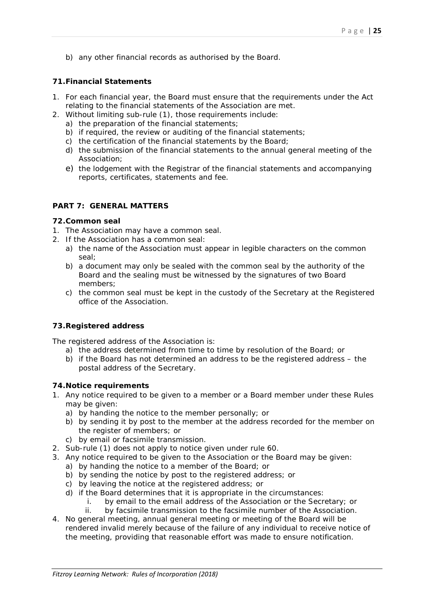b) any other financial records as authorised by the Board.

#### **71.Financial Statements**

- 1. For each financial year, the Board must ensure that the requirements under the Act relating to the financial statements of the Association are met.
- 2. Without limiting sub-rule (1), those requirements include:
	- a) the preparation of the financial statements;
	- b) if required, the review or auditing of the financial statements;
	- c) the certification of the financial statements by the Board;
	- d) the submission of the financial statements to the annual general meeting of the Association;
	- e) the lodgement with the Registrar of the financial statements and accompanying reports, certificates, statements and fee.

#### **PART 7: GENERAL MATTERS**

#### **72.Common seal**

- 1. The Association may have a common seal.
- 2. If the Association has a common seal:
	- a) the name of the Association must appear in legible characters on the common seal;
	- b) a document may only be sealed with the common seal by the authority of the Board and the sealing must be witnessed by the signatures of two Board members;
	- c) the common seal must be kept in the custody of the Secretary at the Registered office of the Association.

## **73.Registered address**

The registered address of the Association is:

- a) the address determined from time to time by resolution of the Board; or
- b) if the Board has not determined an address to be the registered address the postal address of the Secretary.

#### **74.Notice requirements**

- 1. Any notice required to be given to a member or a Board member under these Rules may be given:
	- a) by handing the notice to the member personally; or
	- b) by sending it by post to the member at the address recorded for the member on the register of members; or
	- c) by email or facsimile transmission.
- 2. Sub-rule (1) does not apply to notice given under rule 60.
- 3. Any notice required to be given to the Association or the Board may be given:
	- a) by handing the notice to a member of the Board; or
	- b) by sending the notice by post to the registered address; or
	- c) by leaving the notice at the registered address; or
	- d) if the Board determines that it is appropriate in the circumstances:
		- i. by email to the email address of the Association or the Secretary; or
		- ii. by facsimile transmission to the facsimile number of the Association.
- 4. No general meeting, annual general meeting or meeting of the Board will be rendered invalid merely because of the failure of any individual to receive notice of the meeting, providing that reasonable effort was made to ensure notification.